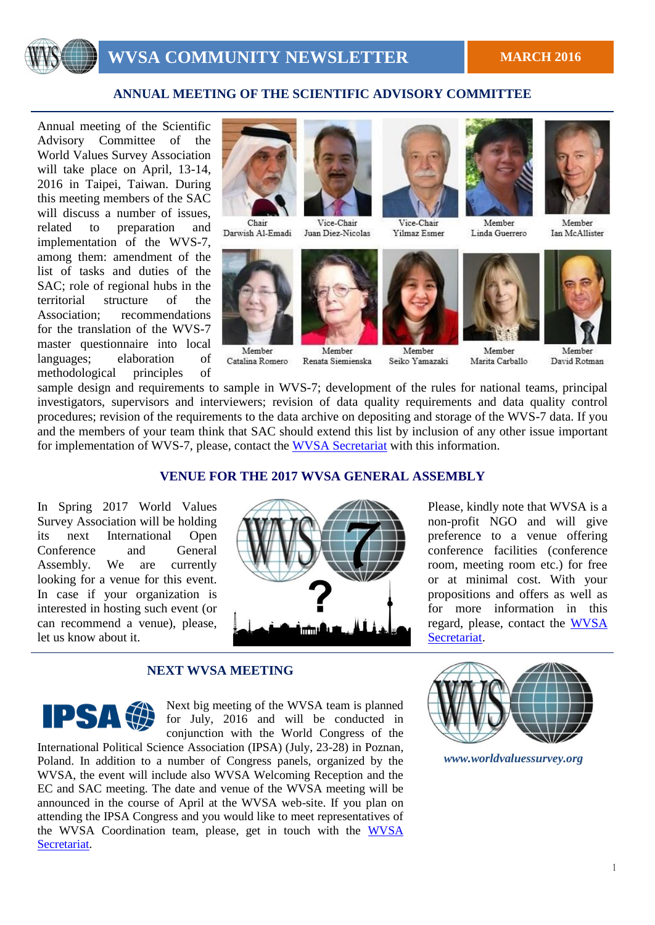

### **ANNUAL MEETING OF THE SCIENTIFIC ADVISORY COMMITTEE**

Annual meeting of the Scientific Advisory Committee of the World Values Survey Association will take place on April, 13-14, 2016 in Taipei, Taiwan. During this meeting members of the SAC will discuss a number of issues. related to preparation and implementation of the WVS-7, among them: amendment of the list of tasks and duties of the SAC; role of regional hubs in the territorial structure of the Association; recommendations for the translation of the WVS-7 master questionnaire into local languages; elaboration of methodological principles of



Chair Darwish Al-Emadi



Member Catalina Romero



Member

Renata Siemienska



Vice-Chair Yilmaz Esmer

Member

Seiko Yamazaki



Member

Marita Carballo

Linda Guerrero



Member Ian McAllister



Member David Rotman

sample design and requirements to sample in WVS-7; development of the rules for national teams, principal investigators, supervisors and interviewers; revision of data quality requirements and data quality control procedures; revision of the requirements to the data archive on depositing and storage of the WVS-7 data. If you and the members of your team think that SAC should extend this list by inclusion of any other issue important for implementation of WVS-7, please, contact the WVSA [Secretariat](mailto:ksenniya.kizilova@gmail.com) with this information.

### **VENUE FOR THE 2017 WVSA GENERAL ASSEMBLY**

In Spring 2017 World Values Survey Association will be holding its next International Open Conference and General Assembly. We are currently looking for a venue for this event. In case if your organization is interested in hosting such event (or can recommend a venue), please, let us know about it.



Please, kindly note that WVSA is a non-profit NGO and will give preference to a venue offering conference facilities (conference room, meeting room etc.) for free or at minimal cost. With your propositions and offers as well as for more information in this regard, please, contact the [WVSA](mailto:ksenniya.kizilova@gmail.com)  [Secretariat.](mailto:ksenniya.kizilova@gmail.com)

### **NEXT WVSA MEETING**

IPSAG

Next big meeting of the WVSA team is planned for July, 2016 and will be conducted in conjunction with the World Congress of the

International Political Science Association (IPSA) (July, 23-28) in Poznan, Poland. In addition to a number of Congress panels, organized by the WVSA, the event will include also WVSA Welcoming Reception and the EC and SAC meeting. The date and venue of the WVSA meeting will be announced in the course of April at the WVSA web-site. If you plan on attending the IPSA Congress and you would like to meet representatives of the [WVSA](mailto:ksenniya.kizilova@gmail.com) Coordination team, please, get in touch with the WVSA [Secretariat.](mailto:ksenniya.kizilova@gmail.com)



*www.worldvaluessurvey.org*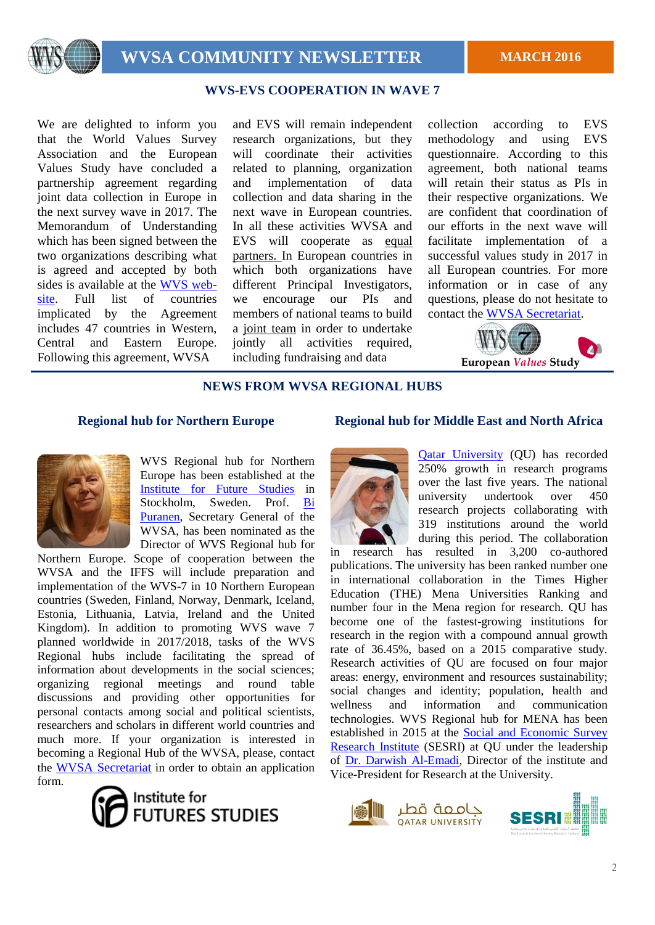

## **WVS-EVS COOPERATION IN WAVE 7**

We are delighted to inform you that the World Values Survey Association and the European Values Study have concluded a partnership agreement regarding joint data collection in Europe in the next survey wave in 2017. The Memorandum of Understanding which has been signed between the two organizations describing what is agreed and accepted by both sides is available at the [WVS web](http://www.worldvaluessurvey.org/)[site.](http://www.worldvaluessurvey.org/) Full list of countries implicated by the Agreement includes 47 countries in Western, Central and Eastern Europe. Following this agreement, WVSA

and EVS will remain independent research organizations, but they will coordinate their activities related to planning, organization and implementation of data collection and data sharing in the next wave in European countries. In all these activities WVSA and EVS will cooperate as equal partners. In European countries in which both organizations have different Principal Investigators, we encourage our PIs and members of national teams to build a joint team in order to undertake jointly all activities required, including fundraising and data

collection according to EVS methodology and using EVS questionnaire. According to this agreement, both national teams will retain their status as PIs in their respective organizations. We are confident that coordination of our efforts in the next wave will facilitate implementation of a successful values study in 2017 in all European countries. For more information or in case of any questions, please do not hesitate to contact the [WVSA Secretariat.](mailto:ksenniya.kizilova@gmail.com)



### **NEWS FROM WVSA REGIONAL HUBS**



WVS Regional hub for Northern Europe has been established at the [Institute for Future Studies](http://www.iffs.se/) in Stockholm, Sweden. Prof. [Bi](http://www.bikupan.se/)  [Puranen,](http://www.bikupan.se/) Secretary General of the WVSA, has been nominated as the Director of WVS Regional hub for

Northern Europe. Scope of cooperation between the WVSA and the IFFS will include preparation and implementation of the WVS-7 in 10 Northern European countries (Sweden, Finland, Norway, Denmark, Iceland, Estonia, Lithuania, Latvia, Ireland and the United Kingdom). In addition to promoting WVS wave 7 planned worldwide in 2017/2018, tasks of the WVS Regional hubs include facilitating the spread of information about developments in the social sciences; organizing regional meetings and round table discussions and providing other opportunities for personal contacts among social and political scientists, researchers and scholars in different world countries and much more. If your organization is interested in becoming a Regional Hub of the WVSA, please, contact the [WVSA Secretariat](mailto:ksenniya.kizilova@gmail.com) in order to obtain an application form.



### **Regional hub for Northern Europe Regional hub for Middle East and North Africa**



[Qatar University](http://www.qu.edu.qa/) (QU) has recorded 250% growth in research programs over the last five years. The national university undertook over 450 research projects collaborating with 319 institutions around the world during this period. The collaboration

in research has resulted in 3,200 co-authored publications. The university has been ranked number one in international collaboration in the Times Higher Education (THE) Mena Universities Ranking and number four in the Mena region for research. QU has become one of the fastest-growing institutions for research in the region with a compound annual growth rate of 36.45%, based on a 2015 comparative study. Research activities of QU are focused on four major areas: energy, environment and resources sustainability; social changes and identity; population, health and wellness and information and communication technologies. WVS Regional hub for MENA has been established in 2015 at the [Social and Economic Survey](http://sesri.qu.edu.qa/)  [Research Institute](http://sesri.qu.edu.qa/) (SESRI) at QU under the leadership of [Dr. Darwish Al-Emadi,](http://sesri.qu.edu.qa/node/39) Director of the institute and Vice-President for Research at the University.



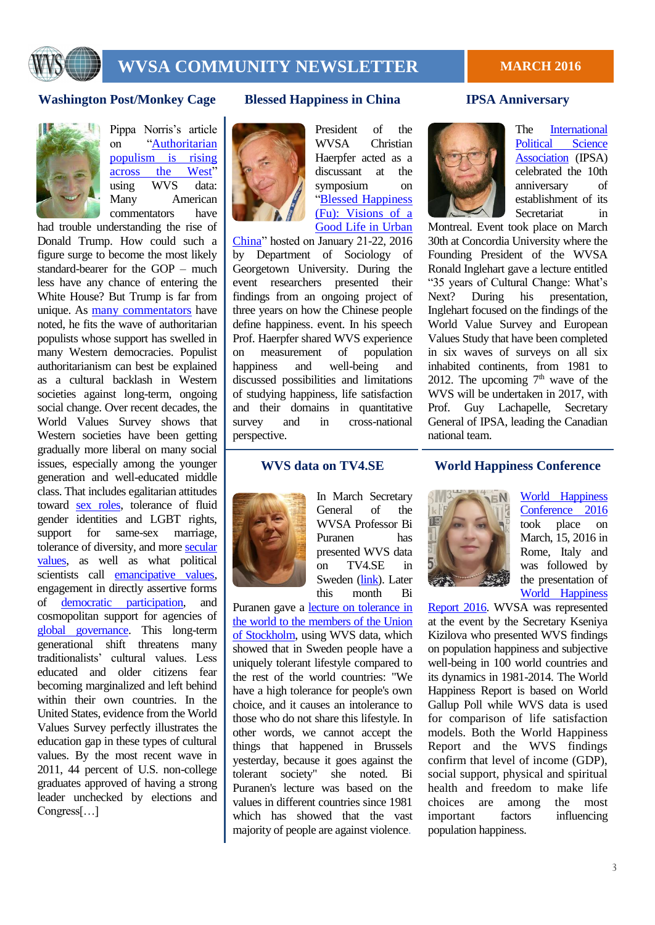

# **WVSA COMMUNITY NEWSLETTER** MARCH 2016

### **Washington Post/Monkey Cage Blessed Happiness in China IPSA Anniversary**



Pippa Norris's article on ["Authoritarian](https://www.washingtonpost.com/news/monkey-cage/wp/2016/03/11/its-not-just-trump-authoritarian-populism-is-rising-across-the-west-heres-why/)  [populism is rising](https://www.washingtonpost.com/news/monkey-cage/wp/2016/03/11/its-not-just-trump-authoritarian-populism-is-rising-across-the-west-heres-why/)  [across the West"](https://www.washingtonpost.com/news/monkey-cage/wp/2016/03/11/its-not-just-trump-authoritarian-populism-is-rising-across-the-west-heres-why/) using WVS data: Many American commentators have

had trouble understanding the rise of Donald Trump. How could such a figure surge to become the most likely standard-bearer for the GOP – much less have any chance of entering the White House? But Trump is far from unique. As [many commentators](https://www.washingtonpost.com/blogs/monkey-cage/wp/2015/08/26/the-trump-phenomenon-and-the-european-populist-radical-right/) have noted, he fits the wave of authoritarian populists whose support has swelled in many Western democracies. Populist authoritarianism can best be explained as a cultural backlash in Western societies against long-term, ongoing social change. Over recent decades, the World Values Survey shows that Western societies have been getting gradually more liberal on many social issues, especially among the younger generation and well-educated middle class. That includes egalitarian attitudes toward [sex roles,](http://www.cambridge.org/au/search?iFeelLucky=false¤tTheme=Academic_v1&query=rising+tide) tolerance of fluid gender identities and LGBT rights, support for same-sex marriage, tolerance of diversity, and more [secular](http://www.cambridge.org/au/academic/subjects/politics-international-relations/comparative-politics/sacred-and-secular-religion-and-politics-worldwide-2nd-edition)  [values,](http://www.cambridge.org/au/academic/subjects/politics-international-relations/comparative-politics/sacred-and-secular-religion-and-politics-worldwide-2nd-edition) as well as what political scientists call **emancipative** values, engagement in directly assertive forms of [democratic participation,](http://www.cambridge.org/au/academic/subjects/politics-international-relations/comparative-politics/civic-culture-transformed-allegiant-assertive-citizens?format=PB) and cosmopolitan support for agencies of [global governance.](http://www.cambridge.org/au/academic/subjects/politics-international-relations/comparative-politics/cosmopolitan-communications-cultural-diversity-globalized-world?format=PB) This long-term generational shift threatens many traditionalists' cultural values. Less educated and older citizens fear becoming marginalized and left behind within their own countries. In the United States, evidence from the World Values Survey perfectly illustrates the education gap in these types of cultural values. By the most recent wave in 2011, 44 percent of U.S. non-college graduates approved of having a strong leader unchecked by elections and Congress[…]



President of the WVSA Christian Haerpfer acted as a discussant at the symposium on ["Blessed Happiness](http://georgetownvoice.com/2016/01/28/sociology-department-holds-symposium-on-chinese-urban-life-2/)  [\(Fu\): Visions of a](http://georgetownvoice.com/2016/01/28/sociology-department-holds-symposium-on-chinese-urban-life-2/)  [Good Life in Urban](http://georgetownvoice.com/2016/01/28/sociology-department-holds-symposium-on-chinese-urban-life-2/) 

[China"](http://georgetownvoice.com/2016/01/28/sociology-department-holds-symposium-on-chinese-urban-life-2/) hosted on January 21-22, 2016 by Department of Sociology of Georgetown University. During the event researchers presented their findings from an ongoing project of three years on how the Chinese people define happiness. event. In his speech Prof. Haerpfer shared WVS experience on measurement of population happiness and well-being and discussed possibilities and limitations of studying happiness, life satisfaction and their domains in quantitative survey and in cross-national perspective.



In March Secretary General of the WVSA Professor Bi Puranen has presented WVS data on TV4.SE in Sweden [\(link\)](http://www.tv4.se/nyhetsmorgon/klipp/fler-m%C3%A4n-%C3%A4n-kvinnor-i-sverige-f%C3%B6r-f%C3%B6rsta-g%C3%A5ngen-3290623). Later this month Bi

Puranen gave a [lecture on tolerance in](https://www.facebook.com/unionenstockholm/posts/1313988861950167?pnref=story)  [the world to the members of the Union](https://www.facebook.com/unionenstockholm/posts/1313988861950167?pnref=story)  [of Stockholm,](https://www.facebook.com/unionenstockholm/posts/1313988861950167?pnref=story) using WVS data, which showed that in Sweden people have a uniquely tolerant lifestyle compared to the rest of the world countries: "We have a high tolerance for people's own choice, and it causes an intolerance to those who do not share this lifestyle. In other words, we cannot accept the things that happened in Brussels yesterday, because it goes against the tolerant society" she noted. Bi Puranen's lecture was based on the values in different countries since 1981 which has showed that the vast majority of people are against violence.



The [International](http://www.ipsa.org/news/news/international-political-science-association-celebrates-10th-year-montreal)  Political Science [Association](http://www.ipsa.org/news/news/international-political-science-association-celebrates-10th-year-montreal) (IPSA) celebrated the 10th anniversary of establishment of its Secretariat in

Montreal. Event took place on March 30th at Concordia University where the Founding President of the WVSA Ronald Inglehart gave a lecture entitled "35 years of Cultural Change: What's Next? During his presentation, Inglehart focused on the findings of the World Value Survey and European Values Study that have been completed in six waves of surveys on all six inhabited continents, from 1981 to 2012. The upcoming  $7<sup>th</sup>$  wave of the WVS will be undertaken in 2017, with Prof. Guy Lachapelle, Secretary General of IPSA, leading the Canadian national team.

### **WVS data on TV4.SE World Happiness Conference**



[World Happiness](http://happiness.lumsa.it/)  [Conference 2016](http://happiness.lumsa.it/) took place on March, 15, 2016 in Rome, Italy and was followed by the presentation of [World Happiness](http://worldhappiness.report/) 

[Report 2016.](http://worldhappiness.report/) WVSA was represented at the event by the Secretary Kseniya Kizilova who presented WVS findings on population happiness and subjective well-being in 100 world countries and its dynamics in 1981-2014. The World Happiness Report is based on World Gallup Poll while WVS data is used for comparison of life satisfaction models. Both the World Happiness Report and the WVS findings confirm that level of income (GDP), social support, physical and spiritual health and freedom to make life choices are among the most important factors influencing population happiness.